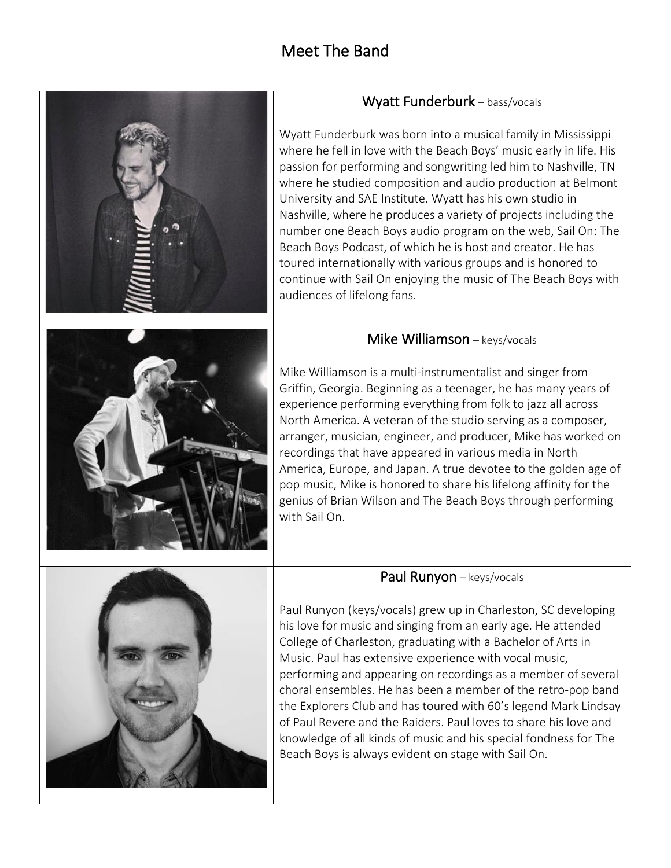## Meet The Band



performing and appearing on recordings as a member of several choral ensembles. He has been a member of the retro-pop band the Explorers Club and has toured with 60's legend Mark Lindsay of Paul Revere and the Raiders. Paul loves to share his love and knowledge of all kinds of music and his special fondness for The Beach Boys is always evident on stage with Sail On.